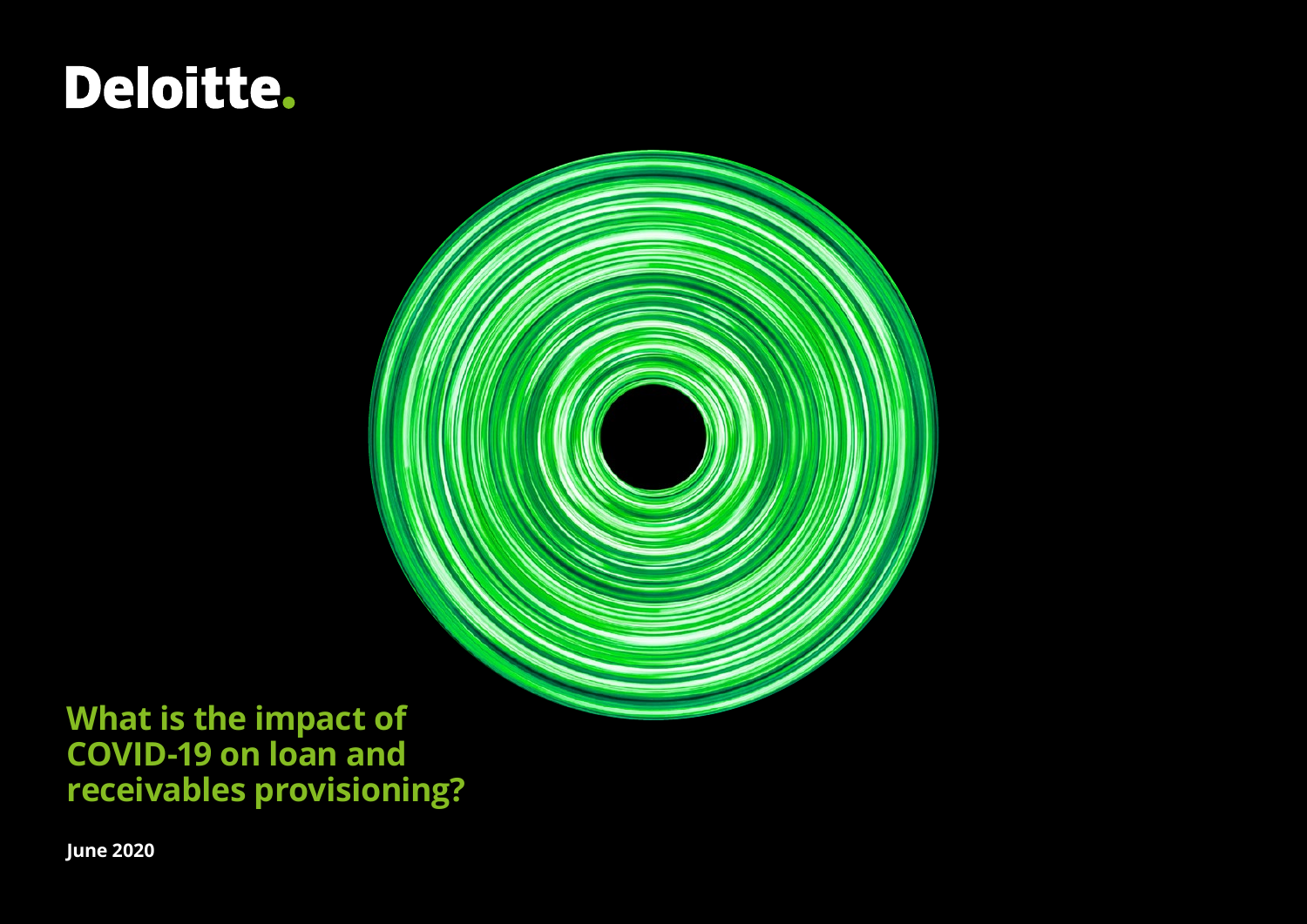# Deloitte.



# **What is the impact of COVID-19 on loan and receivables provisioning?**

**June 2020**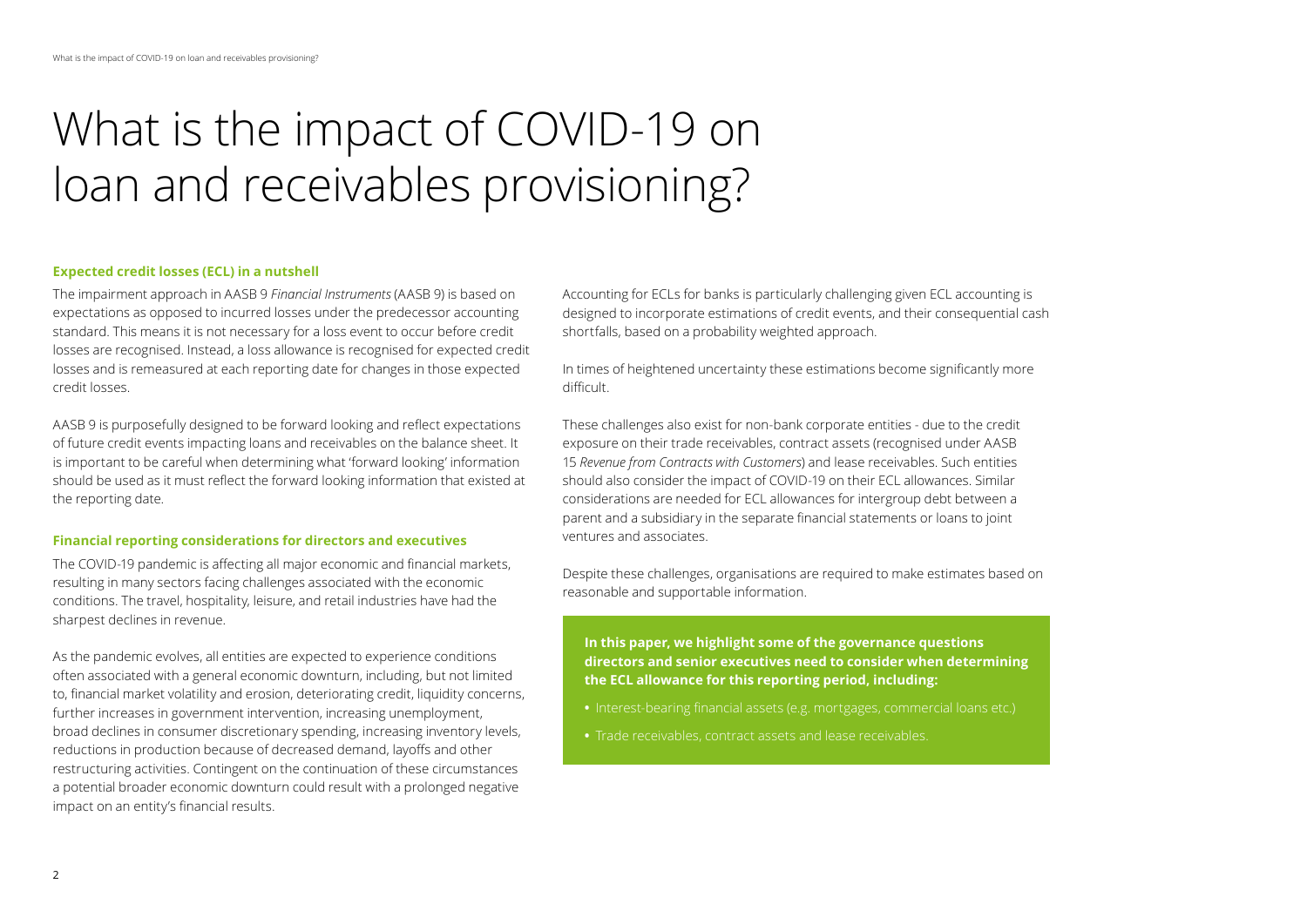# What is the impact of COVID-19 on loan and receivables provisioning?

#### **Expected credit losses (ECL) in a nutshell**

The impairment approach in AASB 9 *Financial Instruments* (AASB 9) is based on expectations as opposed to incurred losses under the predecessor accounting standard. This means it is not necessary for a loss event to occur before credit losses are recognised. Instead, a loss allowance is recognised for expected credit losses and is remeasured at each reporting date for changes in those expected credit losses.

AASB 9 is purposefully designed to be forward looking and reflect expectations of future credit events impacting loans and receivables on the balance sheet. It is important to be careful when determining what 'forward looking' information should be used as it must reflect the forward looking information that existed at the reporting date.

#### **Financial reporting considerations for directors and executives**

The COVID-19 pandemic is affecting all major economic and financial markets, resulting in many sectors facing challenges associated with the economic conditions. The travel, hospitality, leisure, and retail industries have had the sharpest declines in revenue.

As the pandemic evolves, all entities are expected to experience conditions often associated with a general economic downturn, including, but not limited to, financial market volatility and erosion, deteriorating credit, liquidity concerns, further increases in government intervention, increasing unemployment, broad declines in consumer discretionary spending, increasing inventory levels, reductions in production because of decreased demand, layoffs and other restructuring activities. Contingent on the continuation of these circumstances a potential broader economic downturn could result with a prolonged negative impact on an entity's financial results.

Accounting for ECLs for banks is particularly challenging given ECL accounting is designed to incorporate estimations of credit events, and their consequential cash shortfalls, based on a probability weighted approach.

In times of heightened uncertainty these estimations become significantly more difficult.

These challenges also exist for non-bank corporate entities - due to the credit exposure on their trade receivables, contract assets (recognised under AASB 15 *Revenue from Contracts with Customers*) and lease receivables. Such entities should also consider the impact of COVID-19 on their ECL allowances. Similar considerations are needed for ECL allowances for intergroup debt between a parent and a subsidiary in the separate financial statements or loans to joint ventures and associates.

Despite these challenges, organisations are required to make estimates based on reasonable and supportable information.

**In this paper, we highlight some of the governance questions directors and senior executives need to consider when determining the ECL allowance for this reporting period, including:**

- Interest-bearing financial assets (e.g. mortgages, commercial loans etc.)
- **•** Trade receivables, contract assets and lease receivables.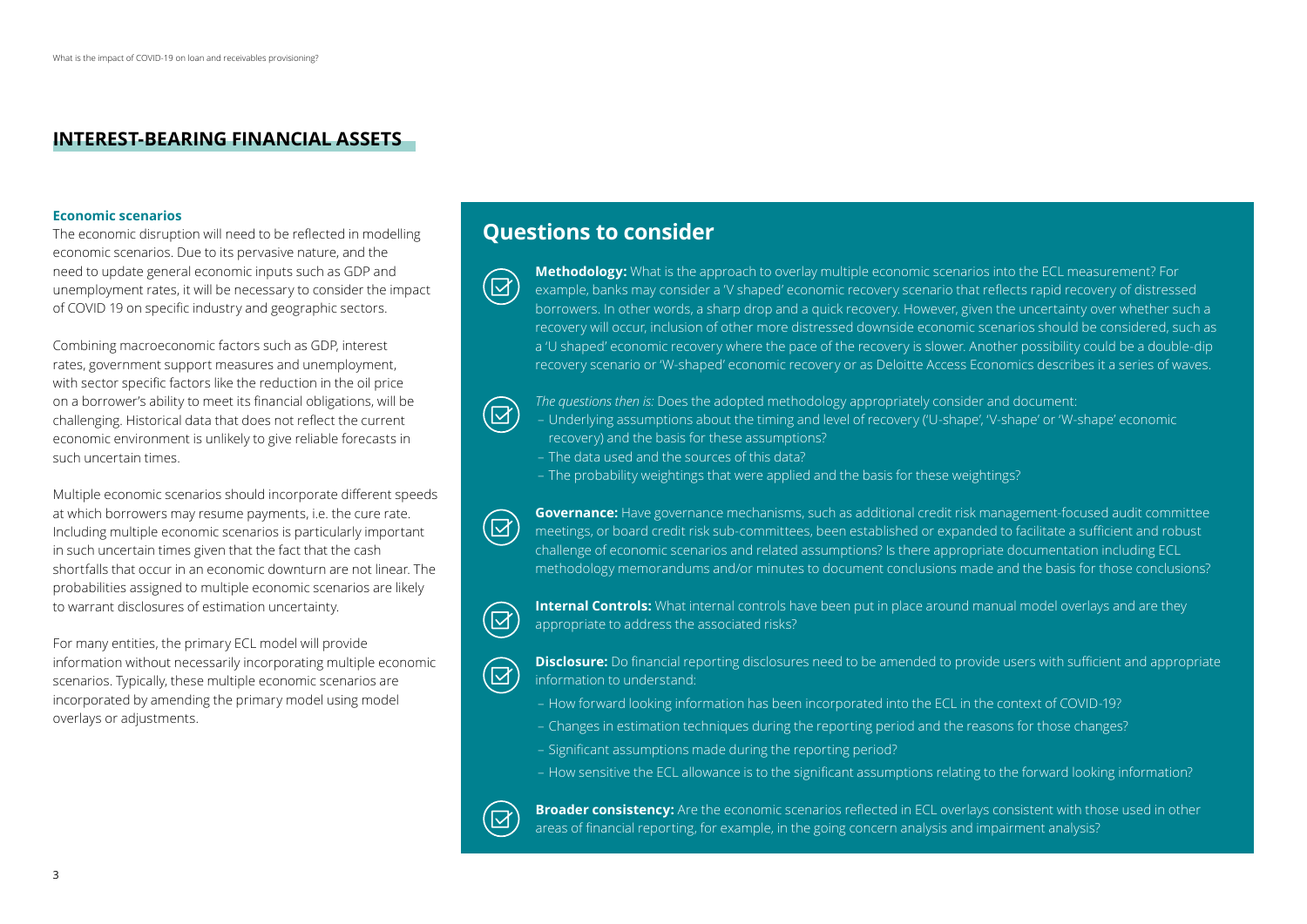### **INTEREST-BEARING FINANCIAL ASSETS**

#### **Economic scenarios**

The economic disruption will need to be reflected in modelling economic scenarios. Due to its pervasive nature, and the need to update general economic inputs such as GDP and unemployment rates, it will be necessary to consider the impact of COVID 19 on specific industry and geographic sectors.

Combining macroeconomic factors such as GDP, interest rates, government support measures and unemployment, with sector specific factors like the reduction in the oil price on a borrower's ability to meet its financial obligations, will be challenging. Historical data that does not reflect the current economic environment is unlikely to give reliable forecasts in such uncertain times.

Multiple economic scenarios should incorporate different speeds at which borrowers may resume payments, i.e. the cure rate. Including multiple economic scenarios is particularly important in such uncertain times given that the fact that the cash shortfalls that occur in an economic downturn are not linear. The probabilities assigned to multiple economic scenarios are likely to warrant disclosures of estimation uncertainty.

For many entities, the primary ECL model will provide information without necessarily incorporating multiple economic scenarios. Typically, these multiple economic scenarios are incorporated by amending the primary model using model overlays or adjustments.

## **Questions to consider**

**Methodology:** What is the approach to overlay multiple economic scenarios into the ECL measurement? For example, banks may consider a 'V shaped' economic recovery scenario that reflects rapid recovery of distressed borrowers. In other words, a sharp drop and a quick recovery. However, given the uncertainty over whether such a recovery will occur, inclusion of other more distressed downside economic scenarios should be considered, such as a 'U shaped' economic recovery where the pace of the recovery is slower. Another possibility could be a double-dip recovery scenario or 'W-shaped' economic recovery or as Deloitte Access Economics describes it a series of waves.

# $(\boxtimes)$

 $(\boxtimes)$ 

*The questions then is:* Does the adopted methodology appropriately consider and document:

– Underlying assumptions about the timing and level of recovery ('U-shape', 'V-shape' or 'W-shape' economic recovery) and the basis for these assumptions?

- The data used and the sources of this data?
- The probability weightings that were applied and the basis for these weightings?

**Governance:** Have governance mechanisms, such as additional credit risk management-focused audit committee meetings, or board credit risk sub-committees, been established or expanded to facilitate a sufficient and robust challenge of economic scenarios and related assumptions? Is there appropriate documentation including ECL methodology memorandums and/or minutes to document conclusions made and the basis for those conclusions?



 $\Xi$ 

**Internal Controls:** What internal controls have been put in place around manual model overlays and are they appropriate to address the associated risks?



**Disclosure:** Do financial reporting disclosures need to be amended to provide users with sufficient and appropriate information to understand:

- How forward looking information has been incorporated into the ECL in the context of COVID-19?
- Changes in estimation techniques during the reporting period and the reasons for those changes?
- Significant assumptions made during the reporting period?
- How sensitive the ECL allowance is to the significant assumptions relating to the forward looking information?



**Broader consistency:** Are the economic scenarios reflected in ECL overlays consistent with those used in other areas of financial reporting, for example, in the going concern analysis and impairment analysis?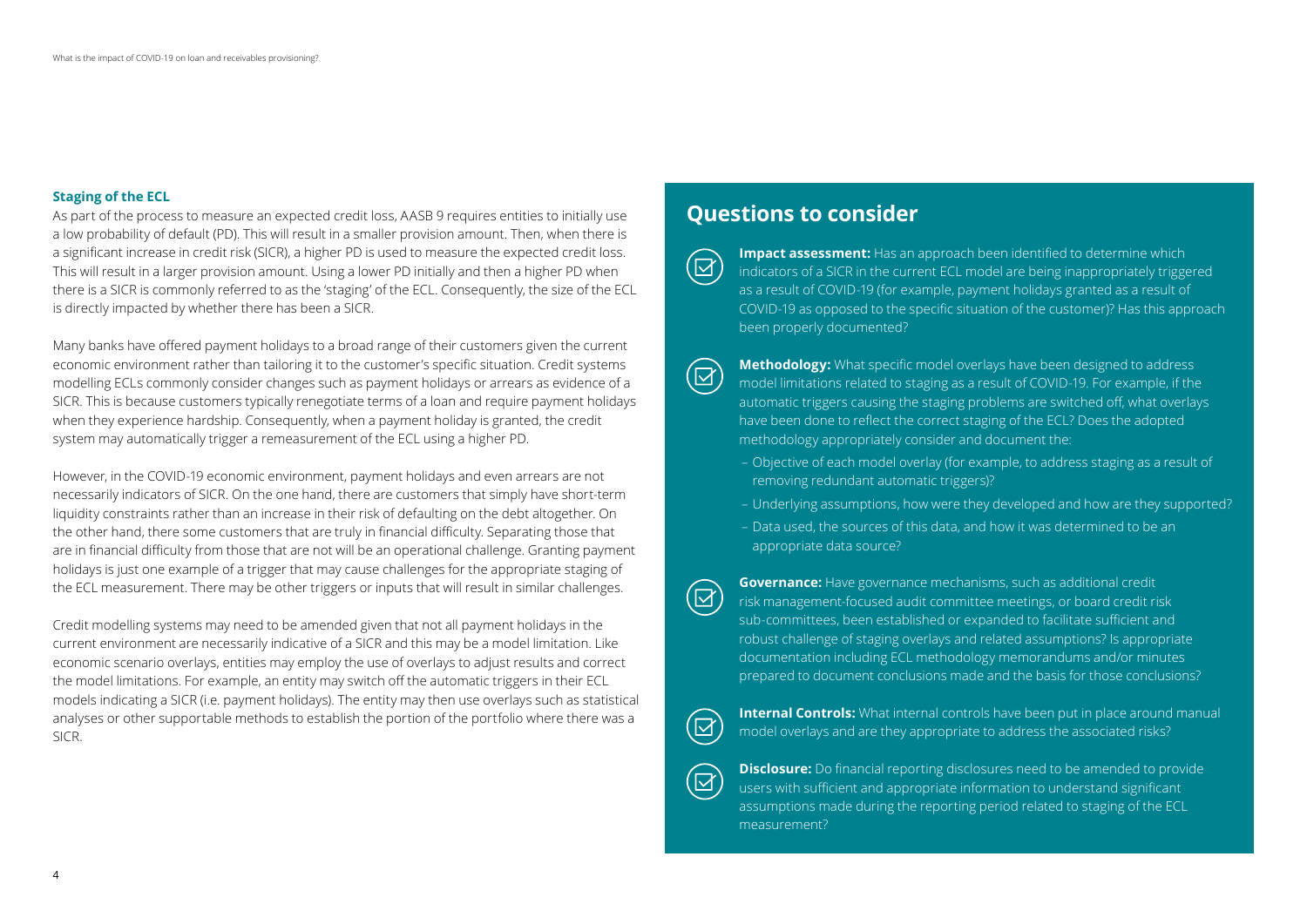#### **Staging of the ECL**

As part of the process to measure an expected credit loss, AASB 9 requires entities to initially use a low probability of default (PD). This will result in a smaller provision amount. Then, when there is a significant increase in credit risk (SICR), a higher PD is used to measure the expected credit loss. This will result in a larger provision amount. Using a lower PD initially and then a higher PD when there is a SICR is commonly referred to as the 'staging' of the ECL. Consequently, the size of the ECL is directly impacted by whether there has been a SICR.

Many banks have offered payment holidays to a broad range of their customers given the current economic environment rather than tailoring it to the customer's specific situation. Credit systems modelling ECLs commonly consider changes such as payment holidays or arrears as evidence of a SICR. This is because customers typically renegotiate terms of a loan and require payment holidays when they experience hardship. Consequently, when a payment holiday is granted, the credit system may automatically trigger a remeasurement of the ECL using a higher PD.

However, in the COVID-19 economic environment, payment holidays and even arrears are not necessarily indicators of SICR. On the one hand, there are customers that simply have short-term liquidity constraints rather than an increase in their risk of defaulting on the debt altogether. On the other hand, there some customers that are truly in financial difficulty. Separating those that are in financial difficulty from those that are not will be an operational challenge. Granting payment holidays is just one example of a trigger that may cause challenges for the appropriate staging of the ECL measurement. There may be other triggers or inputs that will result in similar challenges.

Credit modelling systems may need to be amended given that not all payment holidays in the current environment are necessarily indicative of a SICR and this may be a model limitation. Like economic scenario overlays, entities may employ the use of overlays to adjust results and correct the model limitations. For example, an entity may switch off the automatic triggers in their ECL models indicating a SICR (i.e. payment holidays). The entity may then use overlays such as statistical analyses or other supportable methods to establish the portion of the portfolio where there was a SICR.

## **Questions to consider**

**Impact assessment:** Has an approach been identified to determine which indicators of a SICR in the current ECL model are being inappropriately triggered as a result of COVID-19 (for example, payment holidays granted as a result of COVID-19 as opposed to the specific situation of the customer)? Has this approach been properly documented?

 $\overline{\Xi}$ 

**Methodology:** What specific model overlays have been designed to address model limitations related to staging as a result of COVID-19. For example, if the automatic triggers causing the staging problems are switched off, what overlays have been done to reflect the correct staging of the ECL? Does the adopted methodology appropriately consider and document the:

- Objective of each model overlay (for example, to address staging as a result of removing redundant automatic triggers)?
- Underlying assumptions, how were they developed and how are they supported?
- Data used, the sources of this data, and how it was determined to be an appropriate data source?

**Governance:** Have governance mechanisms, such as additional credit risk management-focused audit committee meetings, or board credit risk sub-committees, been established or expanded to facilitate sufficient and robust challenge of staging overlays and related assumptions? Is appropriate documentation including ECL methodology memorandums and/or minutes prepared to document conclusions made and the basis for those conclusions?



 $(\boxtimes)$ 

**Internal Controls:** What internal controls have been put in place around manual model overlays and are they appropriate to address the associated risks?

**Disclosure:** Do financial reporting disclosures need to be amended to provide users with sufficient and appropriate information to understand significant assumptions made during the reporting period related to staging of the ECL measurement?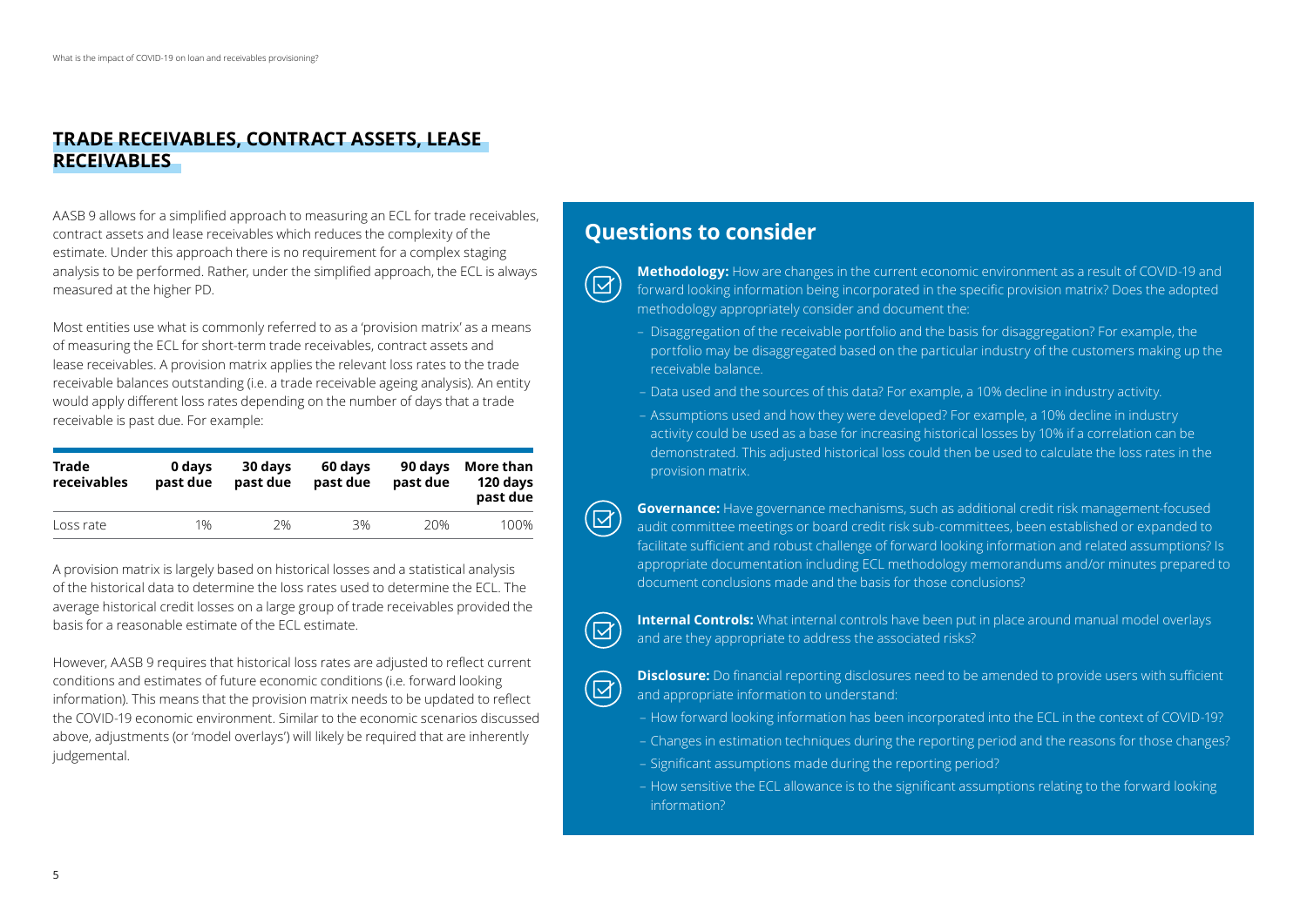### **TRADE RECEIVABLES, CONTRACT ASSETS, LEASE RECEIVABLES**

AASB 9 allows for a simplified approach to measuring an ECL for trade receivables, contract assets and lease receivables which reduces the complexity of the estimate. Under this approach there is no requirement for a complex staging analysis to be performed. Rather, under the simplified approach, the ECL is always measured at the higher PD.

Most entities use what is commonly referred to as a 'provision matrix' as a means of measuring the ECL for short-term trade receivables, contract assets and lease receivables. A provision matrix applies the relevant loss rates to the trade receivable balances outstanding (i.e. a trade receivable ageing analysis). An entity would apply different loss rates depending on the number of days that a trade receivable is past due. For example:

| Trade<br>receivables | 0 days<br>past due | 30 days<br>past due | 60 days<br>past due | 90 days<br>past due | More than<br>120 days<br>past due |
|----------------------|--------------------|---------------------|---------------------|---------------------|-----------------------------------|
| Loss rate            | 1%                 | 2%                  | 3%                  | 20%                 | 100%                              |

A provision matrix is largely based on historical losses and a statistical analysis of the historical data to determine the loss rates used to determine the ECL. The average historical credit losses on a large group of trade receivables provided the basis for a reasonable estimate of the ECL estimate.

However, AASB 9 requires that historical loss rates are adjusted to reflect current conditions and estimates of future economic conditions (i.e. forward looking information). This means that the provision matrix needs to be updated to reflect the COVID-19 economic environment. Similar to the economic scenarios discussed above, adjustments (or 'model overlays') will likely be required that are inherently judgemental.

# **Questions to consider**

 $\overline{\mathbf{z}}$ 

 $\left( \boxtimes \right)$ 

 $\overline{\boxtimes}$ 

 $(\boxtimes)$ 

**Methodology:** How are changes in the current economic environment as a result of COVID-19 and forward looking information being incorporated in the specific provision matrix? Does the adopted methodology appropriately consider and document the:

- Disaggregation of the receivable portfolio and the basis for disaggregation? For example, the portfolio may be disaggregated based on the particular industry of the customers making up the receivable balance.
- Data used and the sources of this data? For example, a 10% decline in industry activity.
- Assumptions used and how they were developed? For example, a 10% decline in industry activity could be used as a base for increasing historical losses by 10% if a correlation can be demonstrated. This adjusted historical loss could then be used to calculate the loss rates in the provision matrix.

**Governance:** Have governance mechanisms, such as additional credit risk management-focused audit committee meetings or board credit risk sub-committees, been established or expanded to facilitate sufficient and robust challenge of forward looking information and related assumptions? Is appropriate documentation including ECL methodology memorandums and/or minutes prepared to document conclusions made and the basis for those conclusions?

**Internal Controls:** What internal controls have been put in place around manual model overlays and are they appropriate to address the associated risks?

**Disclosure:** Do financial reporting disclosures need to be amended to provide users with sufficient and appropriate information to understand:

- How forward looking information has been incorporated into the ECL in the context of COVID-19?
- Changes in estimation techniques during the reporting period and the reasons for those changes?
- Significant assumptions made during the reporting period?
- How sensitive the ECL allowance is to the significant assumptions relating to the forward looking information?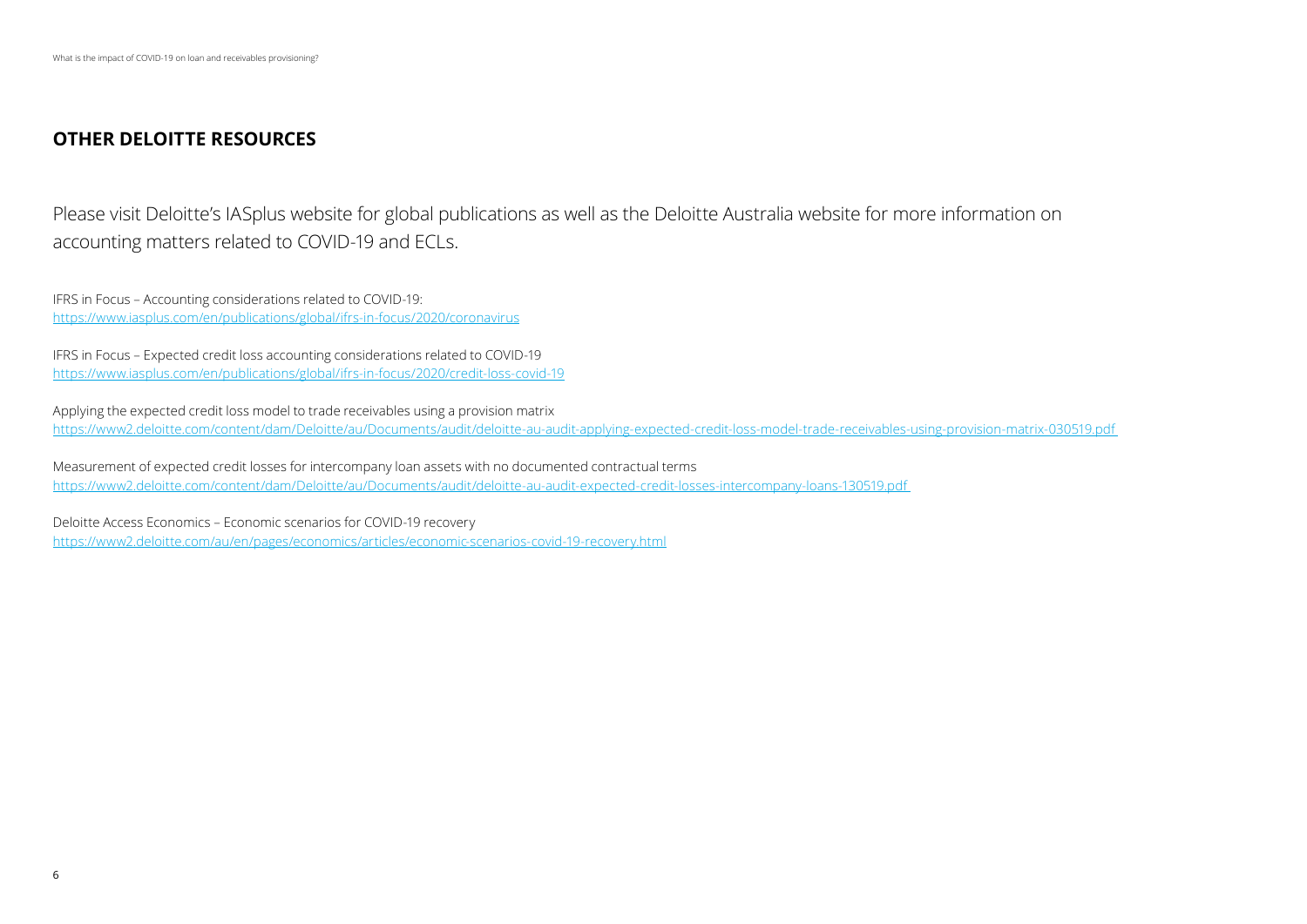## **OTHER DELOITTE RESOURCES**

Please visit Deloitte's IASplus website for global publications as well as the Deloitte Australia website for more information on accounting matters related to COVID-19 and ECLs.

IFRS in Focus – Accounting considerations related to COVID-19: <https://www.iasplus.com/en/publications/global/ifrs-in-focus/2020/coronavirus>

IFRS in Focus – Expected credit loss accounting considerations related to COVID-19 <https://www.iasplus.com/en/publications/global/ifrs-in-focus/2020/credit-loss-covid-19>

Applying the expected credit loss model to trade receivables using a provision matrix [https://www2.deloitte.com/content/dam/Deloitte/au/Documents/audit/deloitte-au-audit-applying-expected-credit-loss-model-trade-receivables-using-provision-matrix-030519.pdf](https://www2.deloitte.com/content/dam/Deloitte/au/Documents/audit/deloitte-au-audit-applying-expected-credit-loss-model-trade-receivables-using-provision-matrix-030519.pdf ) 

Measurement of expected credit losses for intercompany loan assets with no documented contractual terms [https://www2.deloitte.com/content/dam/Deloitte/au/Documents/audit/deloitte-au-audit-expected-credit-losses-intercompany-loans-130519.pdf](https://www2.deloitte.com/content/dam/Deloitte/au/Documents/audit/deloitte-au-audit-expected-credit-losses-intercompany-loans-130519.pdf ) 

Deloitte Access Economics – Economic scenarios for COVID-19 recovery <https://www2.deloitte.com/au/en/pages/economics/articles/economic-scenarios-covid-19-recovery.html>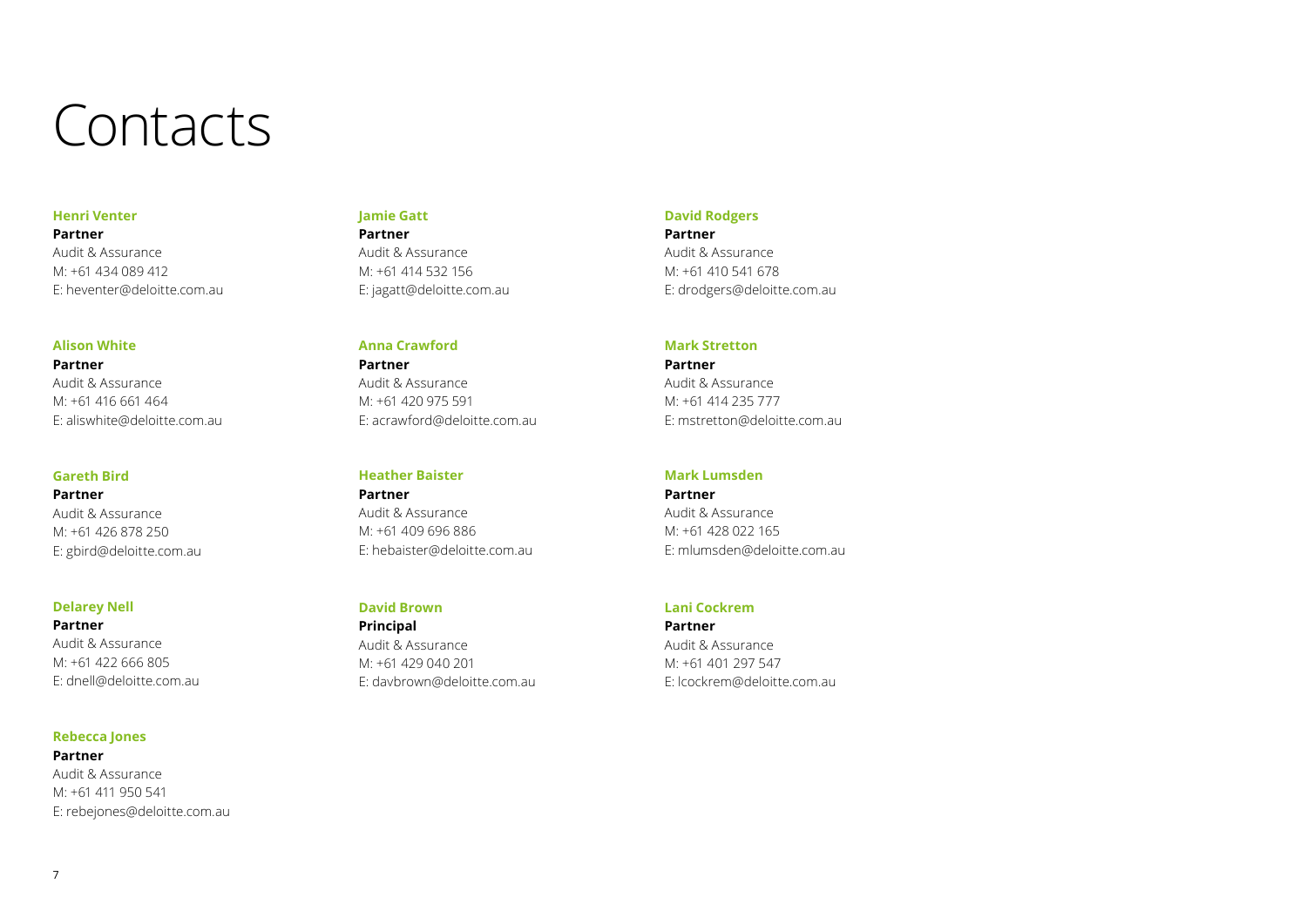# Contacts

#### **Henri Venter**

**Partner** Audit & Assurance M: +61 434 089 412 E: heventer@deloitte.com.au

#### **Alison White**

**Partner** Audit & Assurance M: +61 416 661 464 E: aliswhite@deloitte.com.au

#### **Gareth Bird**

**Partner** Audit & Assurance M: +61 426 878 250 E: gbird@deloitte.com.au

#### **Delarey Nell**

**Partner** Audit & Assurance M: +61 422 666 805 E: dnell@deloitte.com.au

#### **Rebecca Jones**

**Partner** Audit & Assurance M: +61 411 950 541 E: rebejones@deloitte.com.au

### **Jamie Gatt Partner** Audit & Assurance

M: +61 414 532 156 E: jagatt@deloitte.com.au

#### **Anna Crawford**

**Partner** Audit & Assurance M: +61 420 975 591 E: acrawford@deloitte.com.au

**Heather Baister Partner** Audit & Assurance M: +61 409 696 886 E: hebaister@deloitte.com.au

#### **David Brown**

**Principal** Audit & Assurance M: +61 429 040 201 E: davbrown@deloitte.com.au

#### **David Rodgers**

**Partner**

Audit & Assurance M: +61 410 541 678 E: drodgers@deloitte.com.au

#### **Mark Stretton**

**Partner** Audit & Assurance M: +61 414 235 777 E: mstretton@deloitte.com.au

#### **Mark Lumsden**

**Partner** Audit & Assurance M: +61 428 022 165 E: mlumsden@deloitte.com.au

#### **Lani Cockrem**

**Partner** Audit & Assurance M: +61 401 297 547 E: lcockrem@deloitte.com.au